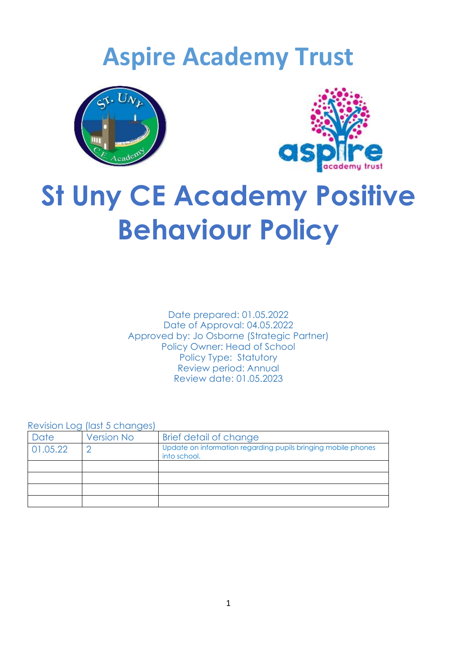# **Aspire Academy Trust**





# **St Uny CE Academy Positive Behaviour Policy**

Date prepared: 01.05.2022 Date of Approval: 04.05.2022 Approved by: Jo Osborne (Strategic Partner) Policy Owner: Head of School Policy Type: Statutory Review period: Annual Review date: 01.05.2023

Revision Log (last 5 changes)

|          | <u>Albert Log</u> figst of the rigids |                                                                               |
|----------|---------------------------------------|-------------------------------------------------------------------------------|
| Date     | <b>Version No</b>                     | Brief detail of change                                                        |
| 01.05.22 |                                       | Update on information regarding pupils bringing mobile phones<br>into school. |
|          |                                       |                                                                               |
|          |                                       |                                                                               |
|          |                                       |                                                                               |
|          |                                       |                                                                               |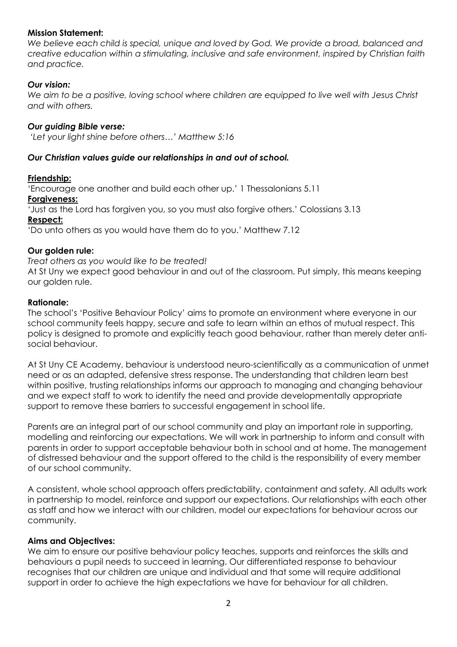### **Mission Statement:**

*We believe each child is special, unique and loved by God. We provide a broad, balanced and creative education within a stimulating, inclusive and safe environment, inspired by Christian faith and practice.* 

### *Our vision:*

*We aim to be a positive, loving school where children are equipped to live well with Jesus Christ and with others.*

#### *Our guiding Bible verse:*

*'Let your light shine before others…' Matthew 5:16*

#### *Our Christian values guide our relationships in and out of school.*

#### **Friendship:**

'Encourage one another and build each other up.' 1 Thessalonians 5.11

# **Forgiveness:**

'Just as the Lord has forgiven you, so you must also forgive others.' Colossians 3.13

#### **Respect:**

'Do unto others as you would have them do to you.' Matthew 7.12

#### **Our golden rule:**

#### *Treat others as you would like to be treated!*

At St Uny we expect good behaviour in and out of the classroom. Put simply, this means keeping our golden rule.

#### **Rationale:**

The school's 'Positive Behaviour Policy' aims to promote an environment where everyone in our school community feels happy, secure and safe to learn within an ethos of mutual respect. This policy is designed to promote and explicitly teach good behaviour, rather than merely deter antisocial behaviour.

At St Uny CE Academy, behaviour is understood neuro-scientifically as a communication of unmet need or as an adapted, defensive stress response. The understanding that children learn best within positive, trusting relationships informs our approach to managing and changing behaviour and we expect staff to work to identify the need and provide developmentally appropriate support to remove these barriers to successful engagement in school life.

Parents are an integral part of our school community and play an important role in supporting, modelling and reinforcing our expectations. We will work in partnership to inform and consult with parents in order to support acceptable behaviour both in school and at home. The management of distressed behaviour and the support offered to the child is the responsibility of every member of our school community.

A consistent, whole school approach offers predictability, containment and safety. All adults work in partnership to model, reinforce and support our expectations. Our relationships with each other as staff and how we interact with our children, model our expectations for behaviour across our community.

#### **Aims and Objectives:**

We aim to ensure our positive behaviour policy teaches, supports and reinforces the skills and behaviours a pupil needs to succeed in learning. Our differentiated response to behaviour recognises that our children are unique and individual and that some will require additional support in order to achieve the high expectations we have for behaviour for all children.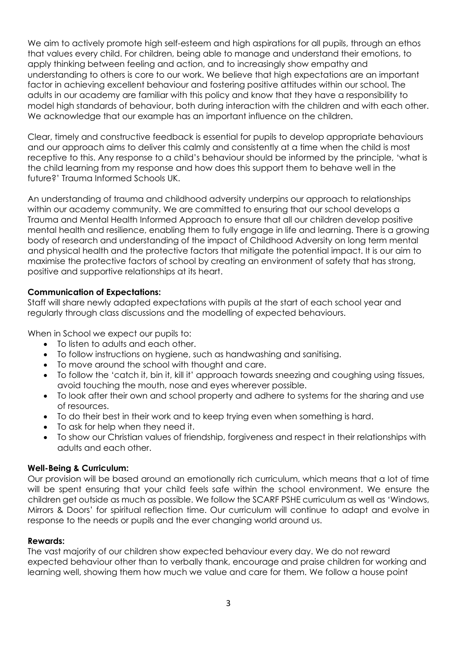We aim to actively promote high self-esteem and high aspirations for all pupils, through an ethos that values every child. For children, being able to manage and understand their emotions, to apply thinking between feeling and action, and to increasingly show empathy and understanding to others is core to our work. We believe that high expectations are an important factor in achieving excellent behaviour and fostering positive attitudes within our school. The adults in our academy are familiar with this policy and know that they have a responsibility to model high standards of behaviour, both during interaction with the children and with each other. We acknowledge that our example has an important influence on the children.

Clear, timely and constructive feedback is essential for pupils to develop appropriate behaviours and our approach aims to deliver this calmly and consistently at a time when the child is most receptive to this. Any response to a child's behaviour should be informed by the principle, 'what is the child learning from my response and how does this support them to behave well in the future?' Trauma Informed Schools UK.

An understanding of trauma and childhood adversity underpins our approach to relationships within our academy community. We are committed to ensuring that our school develops a Trauma and Mental Health Informed Approach to ensure that all our children develop positive mental health and resilience, enabling them to fully engage in life and learning. There is a growing body of research and understanding of the impact of Childhood Adversity on long term mental and physical health and the protective factors that mitigate the potential impact. It is our aim to maximise the protective factors of school by creating an environment of safety that has strong, positive and supportive relationships at its heart.

# **Communication of Expectations:**

Staff will share newly adapted expectations with pupils at the start of each school year and regularly through class discussions and the modelling of expected behaviours.

When in School we expect our pupils to:

- To listen to adults and each other.
- To follow instructions on hygiene, such as handwashing and sanitising.
- To move around the school with thought and care.
- To follow the 'catch it, bin it, kill it' approach towards sneezing and coughing using tissues, avoid touching the mouth, nose and eyes wherever possible.
- To look after their own and school property and adhere to systems for the sharing and use of resources.
- To do their best in their work and to keep trying even when something is hard.
- To ask for help when they need it.
- To show our Christian values of friendship, forgiveness and respect in their relationships with adults and each other.

### **Well-Being & Curriculum:**

Our provision will be based around an emotionally rich curriculum, which means that a lot of time will be spent ensuring that your child feels safe within the school environment. We ensure the children get outside as much as possible. We follow the SCARF PSHE curriculum as well as 'Windows, Mirrors & Doors' for spiritual reflection time. Our curriculum will continue to adapt and evolve in response to the needs or pupils and the ever changing world around us.

#### **Rewards:**

The vast majority of our children show expected behaviour every day. We do not reward expected behaviour other than to verbally thank, encourage and praise children for working and learning well, showing them how much we value and care for them. We follow a house point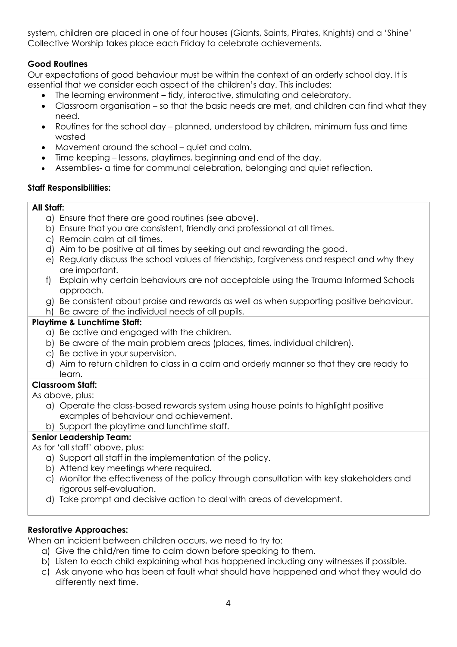system, children are placed in one of four houses (Giants, Saints, Pirates, Knights) and a 'Shine' Collective Worship takes place each Friday to celebrate achievements.

# **Good Routines**

Our expectations of good behaviour must be within the context of an orderly school day. It is essential that we consider each aspect of the children's day. This includes:

- The learning environment tidy, interactive, stimulating and celebratory.
- Classroom organisation so that the basic needs are met, and children can find what they need.
- Routines for the school day planned, understood by children, minimum fuss and time wasted
- Movement around the school quiet and calm.
- Time keeping lessons, playtimes, beginning and end of the day.
- Assemblies- a time for communal celebration, belonging and quiet reflection.

# **Staff Responsibilities:**

# **All Staff:**

- a) Ensure that there are good routines (see above).
- b) Ensure that you are consistent, friendly and professional at all times.
- c) Remain calm at all times.
- d) Aim to be positive at all times by seeking out and rewarding the good.
- e) Regularly discuss the school values of friendship, forgiveness and respect and why they are important.
- f) Explain why certain behaviours are not acceptable using the Trauma Informed Schools approach.
- g) Be consistent about praise and rewards as well as when supporting positive behaviour.
- h) Be aware of the individual needs of all pupils.

# **Playtime & Lunchtime Staff:**

- a) Be active and engaged with the children.
- b) Be aware of the main problem areas (places, times, individual children).
- c) Be active in your supervision.
- d) Aim to return children to class in a calm and orderly manner so that they are ready to learn.

# **Classroom Staff:**

As above, plus:

- a) Operate the class-based rewards system using house points to highlight positive examples of behaviour and achievement.
- b) Support the playtime and lunchtime staff.

# **Senior Leadership Team:**

As for 'all staff' above, plus:

- a) Support all staff in the implementation of the policy.
- b) Attend key meetings where required.
- c) Monitor the effectiveness of the policy through consultation with key stakeholders and rigorous self-evaluation.
- d) Take prompt and decisive action to deal with areas of development.

# **Restorative Approaches:**

When an incident between children occurs, we need to try to:

- a) Give the child/ren time to calm down before speaking to them.
- b) Listen to each child explaining what has happened including any witnesses if possible.
- c) Ask anyone who has been at fault what should have happened and what they would do differently next time.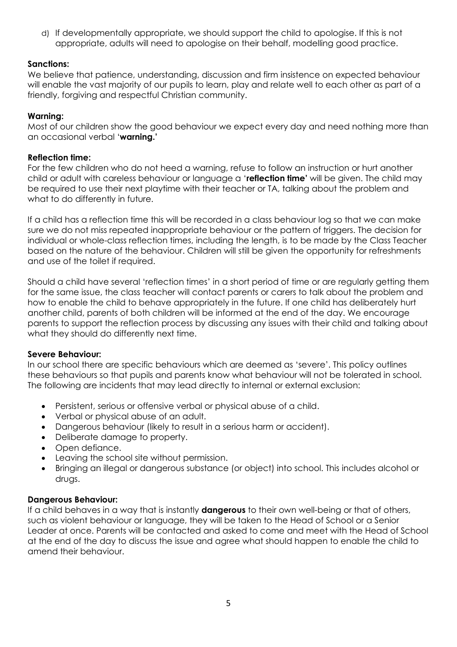d) If developmentally appropriate, we should support the child to apologise. If this is not appropriate, adults will need to apologise on their behalf, modelling good practice.

# **Sanctions:**

We believe that patience, understanding, discussion and firm insistence on expected behaviour will enable the vast majority of our pupils to learn, play and relate well to each other as part of a friendly, forgiving and respectful Christian community.

## **Warning:**

Most of our children show the good behaviour we expect every day and need nothing more than an occasional verbal '**warning.'**

### **Reflection time:**

For the few children who do not heed a warning, refuse to follow an instruction or hurt another child or adult with careless behaviour or language a '**reflection time'** will be given. The child may be required to use their next playtime with their teacher or TA, talking about the problem and what to do differently in future.

If a child has a reflection time this will be recorded in a class behaviour log so that we can make sure we do not miss repeated inappropriate behaviour or the pattern of triggers. The decision for individual or whole-class reflection times, including the length, is to be made by the Class Teacher based on the nature of the behaviour. Children will still be given the opportunity for refreshments and use of the toilet if required.

Should a child have several 'reflection times' in a short period of time or are regularly getting them for the same issue, the class teacher will contact parents or carers to talk about the problem and how to enable the child to behave appropriately in the future. If one child has deliberately hurt another child, parents of both children will be informed at the end of the day. We encourage parents to support the reflection process by discussing any issues with their child and talking about what they should do differently next time.

### **Severe Behaviour:**

In our school there are specific behaviours which are deemed as 'severe'. This policy outlines these behaviours so that pupils and parents know what behaviour will not be tolerated in school. The following are incidents that may lead directly to internal or external exclusion:

- Persistent, serious or offensive verbal or physical abuse of a child.
- Verbal or physical abuse of an adult.
- Dangerous behaviour (likely to result in a serious harm or accident).
- Deliberate damage to property.
- Open defiance.
- Leaving the school site without permission.
- Bringing an illegal or dangerous substance (or object) into school. This includes alcohol or drugs.

### **Dangerous Behaviour:**

If a child behaves in a way that is instantly **dangerous** to their own well-being or that of others, such as violent behaviour or language, they will be taken to the Head of School or a Senior Leader at once. Parents will be contacted and asked to come and meet with the Head of School at the end of the day to discuss the issue and agree what should happen to enable the child to amend their behaviour.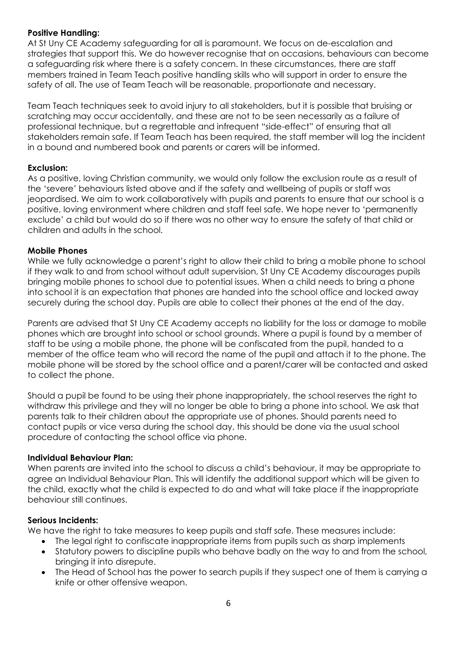### **Positive Handling:**

At St Uny CE Academy safeguarding for all is paramount. We focus on de-escalation and strategies that support this. We do however recognise that on occasions, behaviours can become a safeguarding risk where there is a safety concern. In these circumstances, there are staff members trained in Team Teach positive handling skills who will support in order to ensure the safety of all. The use of Team Teach will be reasonable, proportionate and necessary.

Team Teach techniques seek to avoid injury to all stakeholders, but it is possible that bruising or scratching may occur accidentally, and these are not to be seen necessarily as a failure of professional technique, but a regrettable and infrequent "side-effect" of ensuring that all stakeholders remain safe. If Team Teach has been required, the staff member will log the incident in a bound and numbered book and parents or carers will be informed.

# **Exclusion:**

As a positive, loving Christian community, we would only follow the exclusion route as a result of the 'severe' behaviours listed above and if the safety and wellbeing of pupils or staff was jeopardised. We aim to work collaboratively with pupils and parents to ensure that our school is a positive, loving environment where children and staff feel safe. We hope never to 'permanently exclude' a child but would do so if there was no other way to ensure the safety of that child or children and adults in the school.

# **Mobile Phones**

While we fully acknowledge a parent's right to allow their child to bring a mobile phone to school if they walk to and from school without adult supervision, St Uny CE Academy discourages pupils bringing mobile phones to school due to potential issues. When a child needs to bring a phone into school it is an expectation that phones are handed into the school office and locked away securely during the school day. Pupils are able to collect their phones at the end of the day.

Parents are advised that St Uny CE Academy accepts no liability for the loss or damage to mobile phones which are brought into school or school grounds. Where a pupil is found by a member of staff to be using a mobile phone, the phone will be confiscated from the pupil, handed to a member of the office team who will record the name of the pupil and attach it to the phone. The mobile phone will be stored by the school office and a parent/carer will be contacted and asked to collect the phone.

Should a pupil be found to be using their phone inappropriately, the school reserves the right to withdraw this privilege and they will no longer be able to bring a phone into school. We ask that parents talk to their children about the appropriate use of phones. Should parents need to contact pupils or vice versa during the school day, this should be done via the usual school procedure of contacting the school office via phone.

# **Individual Behaviour Plan:**

When parents are invited into the school to discuss a child's behaviour, it may be appropriate to agree an Individual Behaviour Plan. This will identify the additional support which will be given to the child, exactly what the child is expected to do and what will take place if the inappropriate behaviour still continues.

### **Serious Incidents:**

We have the right to take measures to keep pupils and staff safe. These measures include:

- The legal right to confiscate inappropriate items from pupils such as sharp implements
- Statutory powers to discipline pupils who behave badly on the way to and from the school, bringing it into disrepute.
- The Head of School has the power to search pupils if they suspect one of them is carrying a knife or other offensive weapon.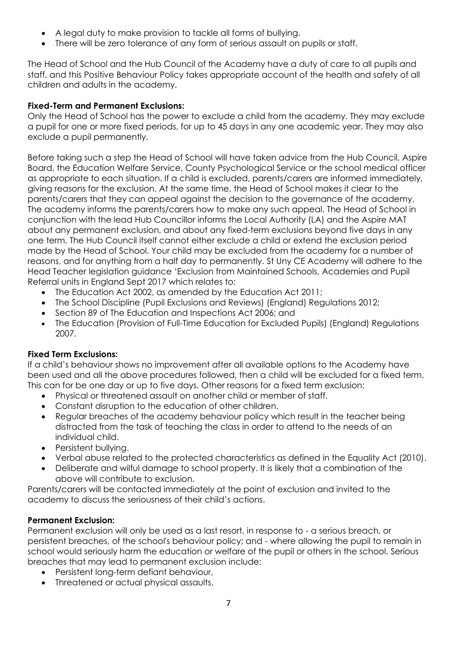- A legal duty to make provision to tackle all forms of bullying.
- There will be zero tolerance of any form of serious assault on pupils or staff.

The Head of School and the Hub Council of the Academy have a duty of care to all pupils and staff, and this Positive Behaviour Policy takes appropriate account of the health and safety of all children and adults in the academy.

# **Fixed-Term and Permanent Exclusions:**

Only the Head of School has the power to exclude a child from the academy. They may exclude a pupil for one or more fixed periods, for up to 45 days in any one academic year. They may also exclude a pupil permanently.

Before taking such a step the Head of School will have taken advice from the Hub Council, Aspire Board, the Education Welfare Service, County Psychological Service or the school medical officer as appropriate to each situation. If a child is excluded, parents/carers are informed immediately, giving reasons for the exclusion. At the same time, the Head of School makes it clear to the parents/carers that they can appeal against the decision to the governance of the academy. The academy informs the parents/carers how to make any such appeal. The Head of School in conjunction with the lead Hub Councillor informs the Local Authority (LA) and the Aspire MAT about any permanent exclusion, and about any fixed-term exclusions beyond five days in any one term. The Hub Council itself cannot either exclude a child or extend the exclusion period made by the Head of School. Your child may be excluded from the academy for a number of reasons, and for anything from a half day to permanently. St Uny CE Academy will adhere to the Head Teacher legislation guidance 'Exclusion from Maintained Schools, Academies and Pupil Referral units in England Sept 2017 which relates to:

- The Education Act 2002, as amended by the Education Act 2011;
- The School Discipline (Pupil Exclusions and Reviews) (England) Regulations 2012;
- Section 89 of The Education and Inspections Act 2006; and
- The Education (Provision of Full-Time Education for Excluded Pupils) (England) Regulations 2007.

### **Fixed Term Exclusions:**

If a child's behaviour shows no improvement after all available options to the Academy have been used and all the above procedures followed, then a child will be excluded for a fixed term. This can for be one day or up to five days. Other reasons for a fixed term exclusion:

- Physical or threatened assault on another child or member of staff.
- Constant disruption to the education of other children.
- Regular breaches of the academy behaviour policy which result in the teacher being distracted from the task of teaching the class in order to attend to the needs of an individual child.
- Persistent bullying.
- Verbal abuse related to the protected characteristics as defined in the Equality Act (2010).
- Deliberate and wilful damage to school property. It is likely that a combination of the above will contribute to exclusion.

Parents/carers will be contacted immediately at the point of exclusion and invited to the academy to discuss the seriousness of their child's actions.

# **Permanent Exclusion:**

Permanent exclusion will only be used as a last resort, in response to - a serious breach, or persistent breaches, of the school's behaviour policy; and - where allowing the pupil to remain in school would seriously harm the education or welfare of the pupil or others in the school. Serious breaches that may lead to permanent exclusion include:

- Persistent long-term defiant behaviour,
- Threatened or actual physical assaults,